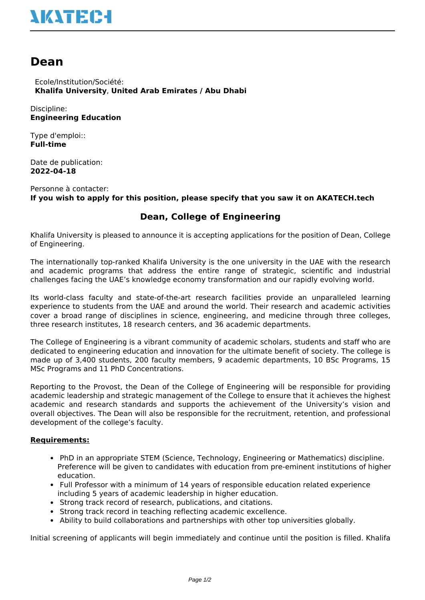## **NATEC-I**

## **Dean**

 Ecole/Institution/Société: **Khalifa University**, **United Arab Emirates / Abu Dhabi**

Discipline: **Engineering Education**

Type d'emploi:: **Full-time**

Date de publication: **2022-04-18**

Personne à contacter: **If you wish to apply for this position, please specify that you saw it on AKATECH.tech**

## **Dean, College of Engineering**

Khalifa University is pleased to announce it is accepting applications for the position of Dean, College of Engineering.

The internationally top-ranked Khalifa University is the one university in the UAE with the research and academic programs that address the entire range of strategic, scientific and industrial challenges facing the UAE's knowledge economy transformation and our rapidly evolving world.

Its world-class faculty and state-of-the-art research facilities provide an unparalleled learning experience to students from the UAE and around the world. Their research and academic activities cover a broad range of disciplines in science, engineering, and medicine through three colleges, three research institutes, 18 research centers, and 36 academic departments.

The College of Engineering is a vibrant community of academic scholars, students and staff who are dedicated to engineering education and innovation for the ultimate benefit of society. The college is made up of 3,400 students, 200 faculty members, 9 academic departments, 10 BSc Programs, 15 MSc Programs and 11 PhD Concentrations.

Reporting to the Provost, the Dean of the College of Engineering will be responsible for providing academic leadership and strategic management of the College to ensure that it achieves the highest academic and research standards and supports the achievement of the University's vision and overall objectives. The Dean will also be responsible for the recruitment, retention, and professional development of the college's faculty.

## **Requirements:**

- PhD in an appropriate STEM (Science, Technology, Engineering or Mathematics) discipline. Preference will be given to candidates with education from pre-eminent institutions of higher education.
- Full Professor with a minimum of 14 years of responsible education related experience including 5 years of academic leadership in higher education.
- Strong track record of research, publications, and citations.
- Strong track record in teaching reflecting academic excellence.
- Ability to build collaborations and partnerships with other top universities globally.

Initial screening of applicants will begin immediately and continue until the position is filled. Khalifa